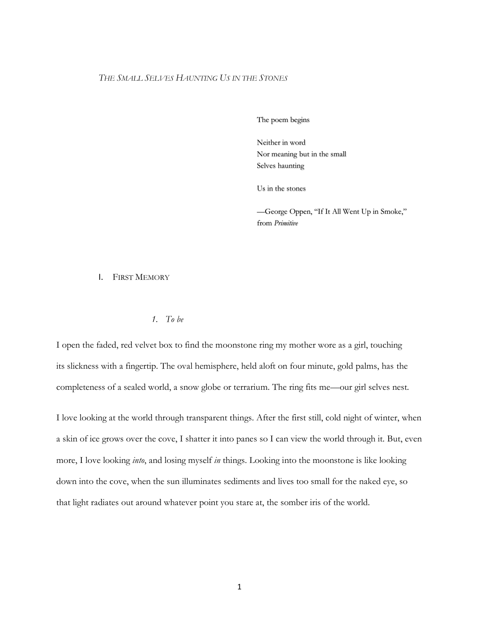# *THE SMALL SELVES HAUNTING US IN THE STONES*

The poem begins

Neither in word Nor meaning but in the small Selves haunting

Us in the stones

—George Oppen, "If It All Went Up in Smoke," from *Primitive*

#### I. FIRST MEMORY

## *1. To be*

I open the faded, red velvet box to find the moonstone ring my mother wore as a girl, touching its slickness with a fingertip. The oval hemisphere, held aloft on four minute, gold palms, has the completeness of a sealed world, a snow globe or terrarium. The ring fits me—our girl selves nest.

I love looking at the world through transparent things. After the first still, cold night of winter, when a skin of ice grows over the cove, I shatter it into panes so I can view the world through it. But, even more, I love looking *into*, and losing myself *in* things. Looking into the moonstone is like looking down into the cove, when the sun illuminates sediments and lives too small for the naked eye, so that light radiates out around whatever point you stare at, the somber iris of the world.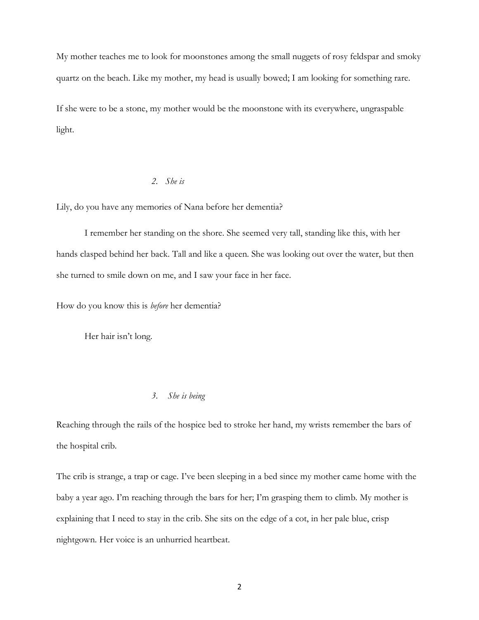My mother teaches me to look for moonstones among the small nuggets of rosy feldspar and smoky quartz on the beach. Like my mother, my head is usually bowed; I am looking for something rare.

If she were to be a stone, my mother would be the moonstone with its everywhere, ungraspable light.

# *2. She is*

Lily, do you have any memories of Nana before her dementia?

I remember her standing on the shore. She seemed very tall, standing like this, with her hands clasped behind her back. Tall and like a queen. She was looking out over the water, but then she turned to smile down on me, and I saw your face in her face.

How do you know this is *before* her dementia?

Her hair isn't long.

# *3. She is being*

Reaching through the rails of the hospice bed to stroke her hand, my wrists remember the bars of the hospital crib.

The crib is strange, a trap or cage. I've been sleeping in a bed since my mother came home with the baby a year ago. I'm reaching through the bars for her; I'm grasping them to climb. My mother is explaining that I need to stay in the crib. She sits on the edge of a cot, in her pale blue, crisp nightgown. Her voice is an unhurried heartbeat.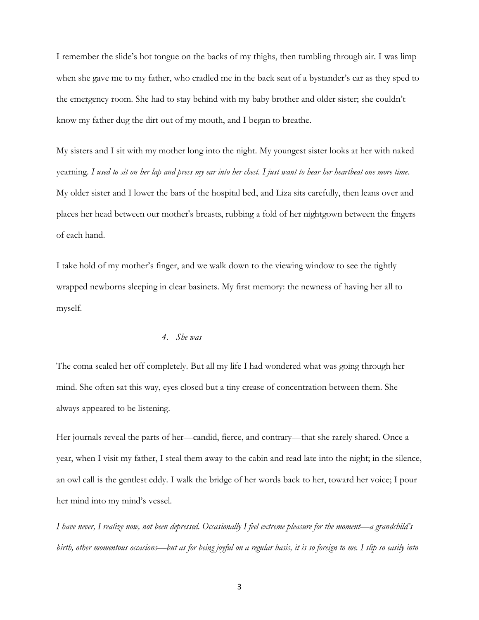I remember the slide's hot tongue on the backs of my thighs, then tumbling through air. I was limp when she gave me to my father, who cradled me in the back seat of a bystander's car as they sped to the emergency room. She had to stay behind with my baby brother and older sister; she couldn't know my father dug the dirt out of my mouth, and I began to breathe.

My sisters and I sit with my mother long into the night. My youngest sister looks at her with naked yearning. *I used to sit on her lap and press my ear into her chest. I just want to hear her heartbeat one more time*. My older sister and I lower the bars of the hospital bed, and Liza sits carefully, then leans over and places her head between our mother's breasts, rubbing a fold of her nightgown between the fingers of each hand.

I take hold of my mother's finger, and we walk down to the viewing window to see the tightly wrapped newborns sleeping in clear basinets. My first memory: the newness of having her all to myself.

## *4. She was*

The coma sealed her off completely. But all my life I had wondered what was going through her mind. She often sat this way, eyes closed but a tiny crease of concentration between them. She always appeared to be listening.

Her journals reveal the parts of her—candid, fierce, and contrary—that she rarely shared. Once a year, when I visit my father, I steal them away to the cabin and read late into the night; in the silence, an owl call is the gentlest eddy. I walk the bridge of her words back to her, toward her voice; I pour her mind into my mind's vessel.

*I have never, I realize now, not been depressed. Occasionally I feel extreme pleasure for the moment—a grandchild's birth, other momentous occasions—but as for being joyful on a regular basis, it is so foreign to me. I slip so easily into*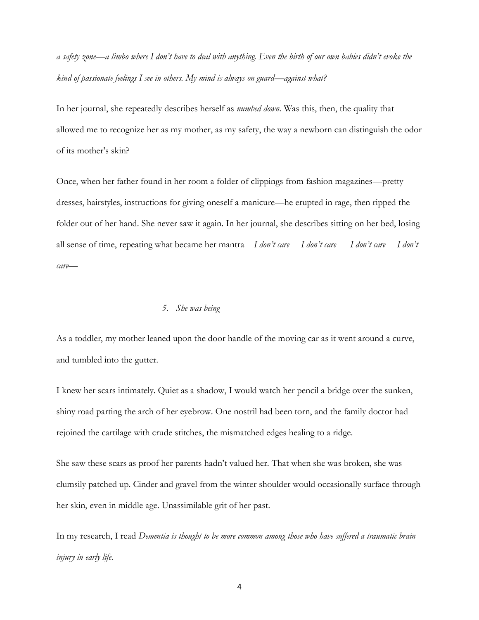*a safety zone—a limbo where I don't have to deal with anything. Even the birth of our own babies didn't evoke the kind of passionate feelings I see in others. My mind is always on guard—against what?*

In her journal, she repeatedly describes herself as *numbed down*. Was this, then, the quality that allowed me to recognize her as my mother, as my safety, the way a newborn can distinguish the odor of its mother's skin?

Once, when her father found in her room a folder of clippings from fashion magazines—pretty dresses, hairstyles, instructions for giving oneself a manicure—he erupted in rage, then ripped the folder out of her hand. She never saw it again. In her journal, she describes sitting on her bed, losing all sense of time, repeating what became her mantra *I don't care I don't care I don't care I don't care—* 

## *5. She was being*

As a toddler, my mother leaned upon the door handle of the moving car as it went around a curve, and tumbled into the gutter.

I knew her scars intimately. Quiet as a shadow, I would watch her pencil a bridge over the sunken, shiny road parting the arch of her eyebrow. One nostril had been torn, and the family doctor had rejoined the cartilage with crude stitches, the mismatched edges healing to a ridge.

She saw these scars as proof her parents hadn't valued her. That when she was broken, she was clumsily patched up. Cinder and gravel from the winter shoulder would occasionally surface through her skin, even in middle age. Unassimilable grit of her past.

In my research, I read *Dementia is thought to be more common among those who have suffered a traumatic brain injury in early life*.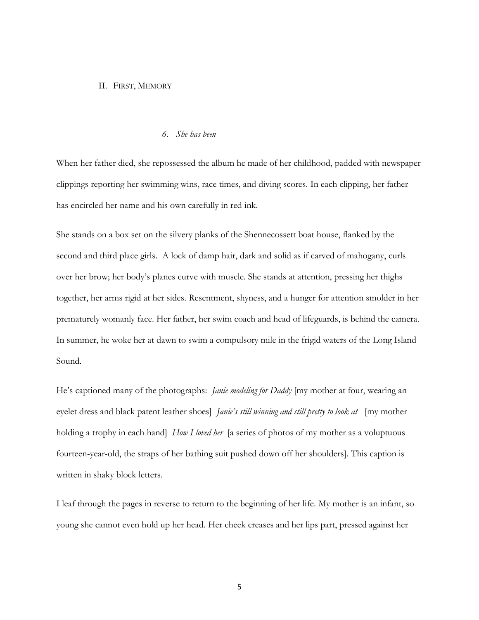#### II. FIRST, MEMORY

#### *6. She has been*

When her father died, she repossessed the album he made of her childhood, padded with newspaper clippings reporting her swimming wins, race times, and diving scores. In each clipping, her father has encircled her name and his own carefully in red ink.

She stands on a box set on the silvery planks of the Shennecossett boat house, flanked by the second and third place girls. A lock of damp hair, dark and solid as if carved of mahogany, curls over her brow; her body's planes curve with muscle. She stands at attention, pressing her thighs together, her arms rigid at her sides. Resentment, shyness, and a hunger for attention smolder in her prematurely womanly face. Her father, her swim coach and head of lifeguards, is behind the camera. In summer, he woke her at dawn to swim a compulsory mile in the frigid waters of the Long Island Sound.

He's captioned many of the photographs: *Janie modeling for Daddy* [my mother at four, wearing an eyelet dress and black patent leather shoes] *Janie's still winning and still pretty to look at* [my mother holding a trophy in each hand] *How I loved her* [a series of photos of my mother as a voluptuous fourteen-year-old, the straps of her bathing suit pushed down off her shoulders]. This caption is written in shaky block letters.

I leaf through the pages in reverse to return to the beginning of her life. My mother is an infant, so young she cannot even hold up her head. Her cheek creases and her lips part, pressed against her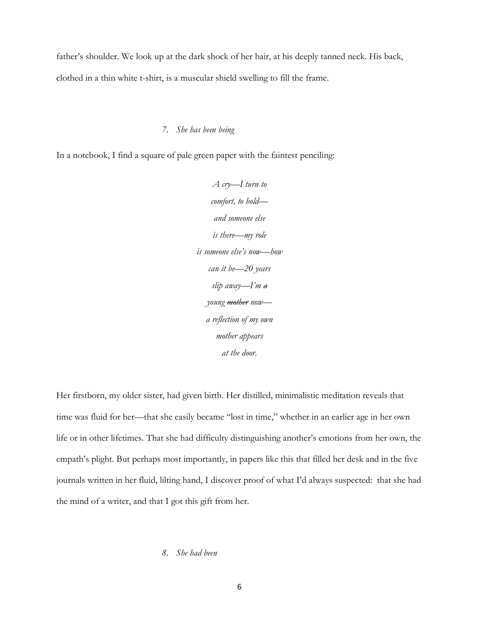father's shoulder. We look up at the dark shock of her hair, at his deeply tanned neck. His back, clothed in a thin white t-shirt, is a muscular shield swelling to fill the frame.

# *7. She has been being*

In a notebook, I find a square of pale green paper with the faintest penciling:

*A cry—I turn to comfort, to hold and someone else is there—my role is someone else's now—how can it be—20 years slip away—I'm a young mother now a reflection of my own mother appears at the door.*

Her firstborn, my older sister, had given birth. Her distilled, minimalistic meditation reveals that time was fluid for her—that she easily became "lost in time," whether in an earlier age in her own life or in other lifetimes. That she had difficulty distinguishing another's emotions from her own, the empath's plight. But perhaps most importantly, in papers like this that filled her desk and in the five journals written in her fluid, lilting hand, I discover proof of what I'd always suspected: that she had the mind of a writer, and that I got this gift from her.

# *8. She had been*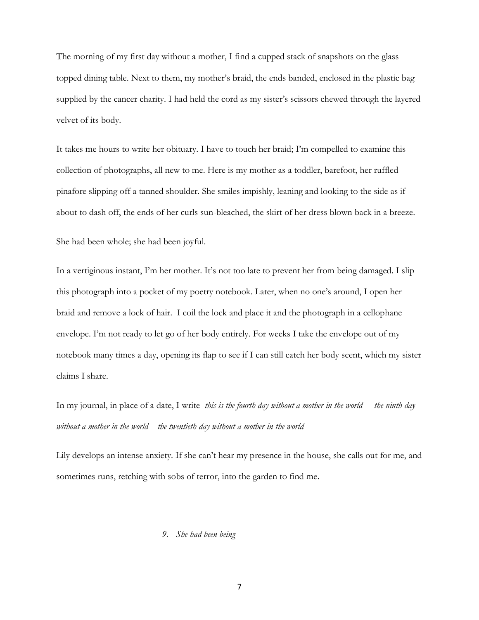The morning of my first day without a mother, I find a cupped stack of snapshots on the glass topped dining table. Next to them, my mother's braid, the ends banded, enclosed in the plastic bag supplied by the cancer charity. I had held the cord as my sister's scissors chewed through the layered velvet of its body.

It takes me hours to write her obituary. I have to touch her braid; I'm compelled to examine this collection of photographs, all new to me. Here is my mother as a toddler, barefoot, her ruffled pinafore slipping off a tanned shoulder. She smiles impishly, leaning and looking to the side as if about to dash off, the ends of her curls sun-bleached, the skirt of her dress blown back in a breeze.

She had been whole; she had been joyful.

In a vertiginous instant, I'm her mother. It's not too late to prevent her from being damaged. I slip this photograph into a pocket of my poetry notebook. Later, when no one's around, I open her braid and remove a lock of hair. I coil the lock and place it and the photograph in a cellophane envelope. I'm not ready to let go of her body entirely. For weeks I take the envelope out of my notebook many times a day, opening its flap to see if I can still catch her body scent, which my sister claims I share.

In my journal, in place of a date, I write *this is the fourth day without a mother in the world the ninth day without a mother in the world the twentieth day without a mother in the world* 

Lily develops an intense anxiety. If she can't hear my presence in the house, she calls out for me, and sometimes runs, retching with sobs of terror, into the garden to find me.

# *9. She had been being*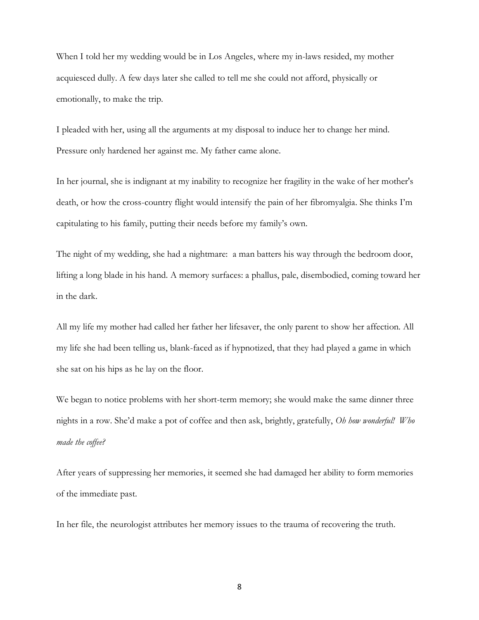When I told her my wedding would be in Los Angeles, where my in-laws resided, my mother acquiesced dully. A few days later she called to tell me she could not afford, physically or emotionally, to make the trip.

I pleaded with her, using all the arguments at my disposal to induce her to change her mind. Pressure only hardened her against me. My father came alone.

In her journal, she is indignant at my inability to recognize her fragility in the wake of her mother's death, or how the cross-country flight would intensify the pain of her fibromyalgia. She thinks I'm capitulating to his family, putting their needs before my family's own.

The night of my wedding, she had a nightmare: a man batters his way through the bedroom door, lifting a long blade in his hand. A memory surfaces: a phallus, pale, disembodied, coming toward her in the dark.

All my life my mother had called her father her lifesaver, the only parent to show her affection. All my life she had been telling us, blank-faced as if hypnotized, that they had played a game in which she sat on his hips as he lay on the floor.

We began to notice problems with her short-term memory; she would make the same dinner three nights in a row. She'd make a pot of coffee and then ask, brightly, gratefully, *Oh how wonderful! Who made the coffee?* 

After years of suppressing her memories, it seemed she had damaged her ability to form memories of the immediate past.

In her file, the neurologist attributes her memory issues to the trauma of recovering the truth.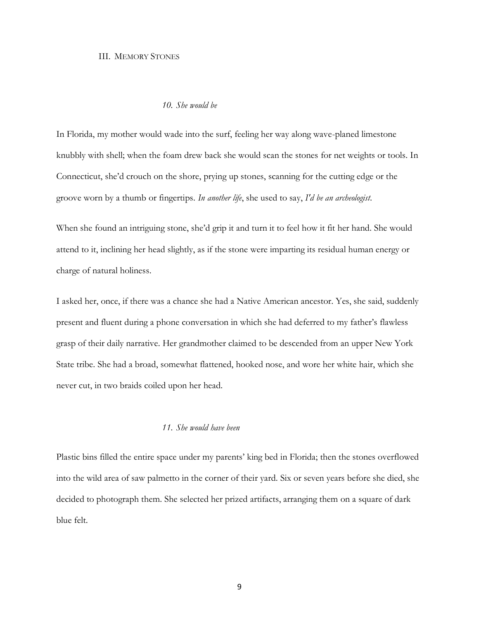#### III. MEMORY STONES

# *10. She would be*

In Florida, my mother would wade into the surf, feeling her way along wave-planed limestone knubbly with shell; when the foam drew back she would scan the stones for net weights or tools. In Connecticut, she'd crouch on the shore, prying up stones, scanning for the cutting edge or the groove worn by a thumb or fingertips. *In another life*, she used to say, *I'd be an archeologist*.

When she found an intriguing stone, she'd grip it and turn it to feel how it fit her hand. She would attend to it, inclining her head slightly, as if the stone were imparting its residual human energy or charge of natural holiness.

I asked her, once, if there was a chance she had a Native American ancestor. Yes, she said, suddenly present and fluent during a phone conversation in which she had deferred to my father's flawless grasp of their daily narrative. Her grandmother claimed to be descended from an upper New York State tribe. She had a broad, somewhat flattened, hooked nose, and wore her white hair, which she never cut, in two braids coiled upon her head.

## *11. She would have been*

Plastic bins filled the entire space under my parents' king bed in Florida; then the stones overflowed into the wild area of saw palmetto in the corner of their yard. Six or seven years before she died, she decided to photograph them. She selected her prized artifacts, arranging them on a square of dark blue felt.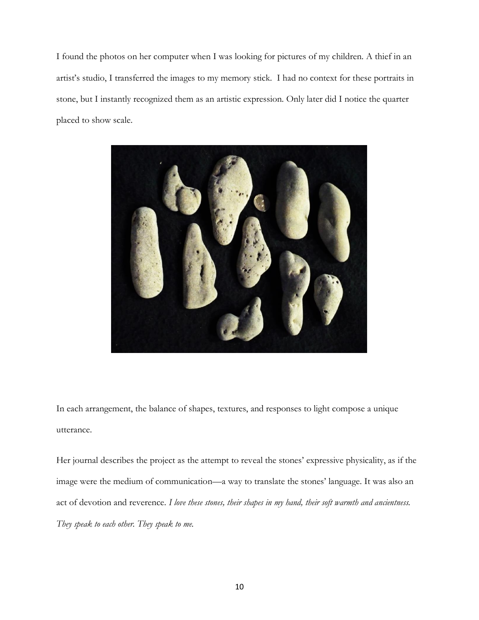I found the photos on her computer when I was looking for pictures of my children. A thief in an artist's studio, I transferred the images to my memory stick. I had no context for these portraits in stone, but I instantly recognized them as an artistic expression. Only later did I notice the quarter placed to show scale.



In each arrangement, the balance of shapes, textures, and responses to light compose a unique utterance.

Her journal describes the project as the attempt to reveal the stones' expressive physicality, as if the image were the medium of communication—a way to translate the stones' language. It was also an act of devotion and reverence. *I love these stones, their shapes in my hand, their soft warmth and ancientness. They speak to each other. They speak to me.*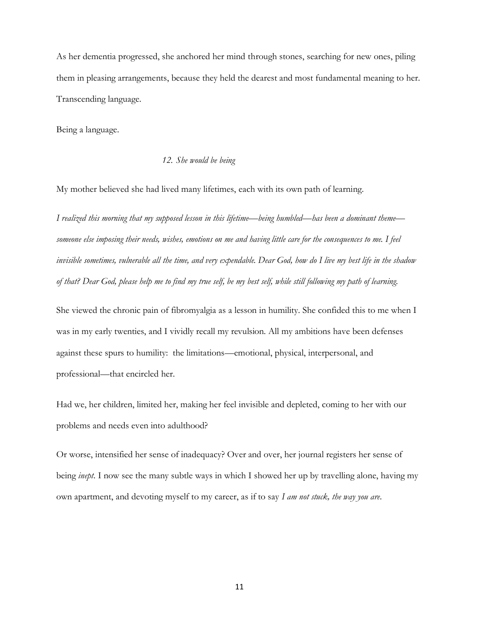As her dementia progressed, she anchored her mind through stones, searching for new ones, piling them in pleasing arrangements, because they held the dearest and most fundamental meaning to her. Transcending language.

Being a language.

## *12. She would be being*

My mother believed she had lived many lifetimes, each with its own path of learning.

*I realized this morning that my supposed lesson in this lifetime—being humbled—has been a dominant theme someone else imposing their needs, wishes, emotions on me and having little care for the consequences to me. I feel invisible sometimes, vulnerable all the time, and very expendable. Dear God, how do I live my best life in the shadow of that? Dear God, please help me to find my true self, be my best self, while still following my path of learning.* 

She viewed the chronic pain of fibromyalgia as a lesson in humility. She confided this to me when I was in my early twenties, and I vividly recall my revulsion. All my ambitions have been defenses against these spurs to humility: the limitations—emotional, physical, interpersonal, and professional—that encircled her.

Had we, her children, limited her, making her feel invisible and depleted, coming to her with our problems and needs even into adulthood?

Or worse, intensified her sense of inadequacy? Over and over, her journal registers her sense of being *inept*. I now see the many subtle ways in which I showed her up by travelling alone, having my own apartment, and devoting myself to my career, as if to say *I am not stuck, the way you are*.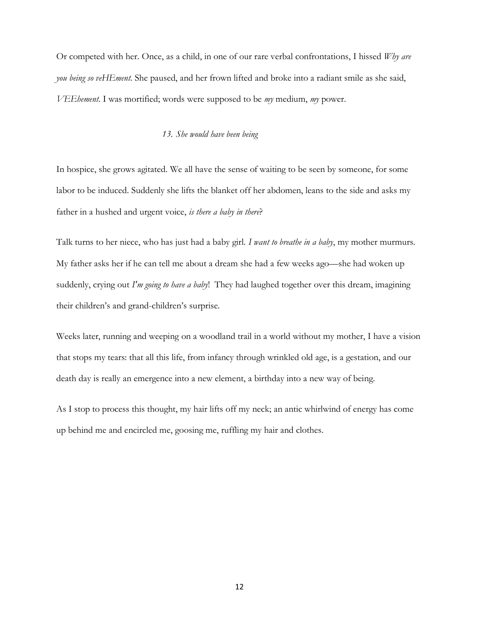Or competed with her. Once, as a child, in one of our rare verbal confrontations, I hissed *Why are you being so veHEment*. She paused, and her frown lifted and broke into a radiant smile as she said, *VEEhement*. I was mortified; words were supposed to be *my* medium, *my* power.

## *13. She would have been being*

In hospice, she grows agitated. We all have the sense of waiting to be seen by someone, for some labor to be induced. Suddenly she lifts the blanket off her abdomen, leans to the side and asks my father in a hushed and urgent voice, *is there a baby in there*?

Talk turns to her niece, who has just had a baby girl. *I want to breathe in a baby*, my mother murmurs. My father asks her if he can tell me about a dream she had a few weeks ago—she had woken up suddenly, crying out *I'm going to have a baby*! They had laughed together over this dream, imagining their children's and grand-children's surprise.

Weeks later, running and weeping on a woodland trail in a world without my mother, I have a vision that stops my tears: that all this life, from infancy through wrinkled old age, is a gestation, and our death day is really an emergence into a new element, a birthday into a new way of being.

As I stop to process this thought, my hair lifts off my neck; an antic whirlwind of energy has come up behind me and encircled me, goosing me, ruffling my hair and clothes.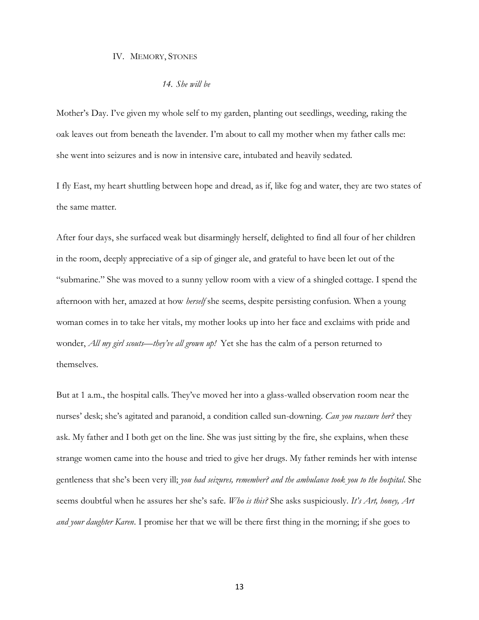### IV. MEMORY, STONES

## *14. She will be*

Mother's Day. I've given my whole self to my garden, planting out seedlings, weeding, raking the oak leaves out from beneath the lavender. I'm about to call my mother when my father calls me: she went into seizures and is now in intensive care, intubated and heavily sedated.

I fly East, my heart shuttling between hope and dread, as if, like fog and water, they are two states of the same matter.

After four days, she surfaced weak but disarmingly herself, delighted to find all four of her children in the room, deeply appreciative of a sip of ginger ale, and grateful to have been let out of the "submarine." She was moved to a sunny yellow room with a view of a shingled cottage. I spend the afternoon with her, amazed at how *herself* she seems, despite persisting confusion. When a young woman comes in to take her vitals, my mother looks up into her face and exclaims with pride and wonder, *All my girl scouts—they've all grown up!* Yet she has the calm of a person returned to themselves.

But at 1 a.m., the hospital calls. They've moved her into a glass-walled observation room near the nurses' desk; she's agitated and paranoid, a condition called sun-downing. *Can you reassure her?* they ask. My father and I both get on the line. She was just sitting by the fire, she explains, when these strange women came into the house and tried to give her drugs. My father reminds her with intense gentleness that she's been very ill; *you had seizures, remember? and the ambulance took you to the hospital*. She seems doubtful when he assures her she's safe. *Who is this?* She asks suspiciously. *It's Art, honey, Art and your daughter Karen*. I promise her that we will be there first thing in the morning; if she goes to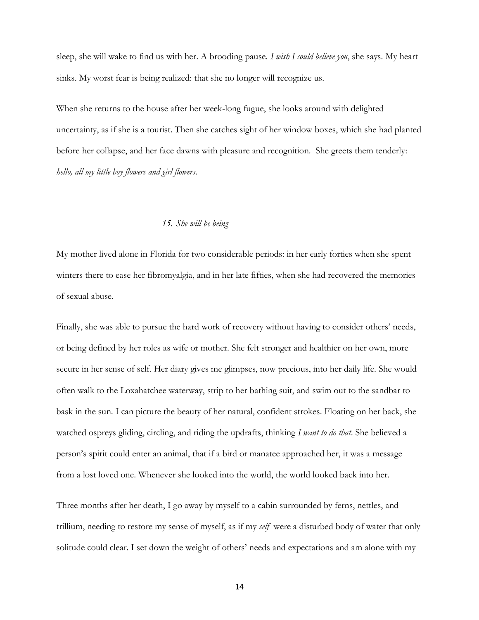sleep, she will wake to find us with her. A brooding pause. *I wish I could believe you*, she says. My heart sinks. My worst fear is being realized: that she no longer will recognize us.

When she returns to the house after her week-long fugue, she looks around with delighted uncertainty, as if she is a tourist. Then she catches sight of her window boxes, which she had planted before her collapse, and her face dawns with pleasure and recognition. She greets them tenderly: *hello, all my little boy flowers and girl flowers*.

#### *15. She will be being*

My mother lived alone in Florida for two considerable periods: in her early forties when she spent winters there to ease her fibromyalgia, and in her late fifties, when she had recovered the memories of sexual abuse.

Finally, she was able to pursue the hard work of recovery without having to consider others' needs, or being defined by her roles as wife or mother. She felt stronger and healthier on her own, more secure in her sense of self. Her diary gives me glimpses, now precious, into her daily life. She would often walk to the Loxahatchee waterway, strip to her bathing suit, and swim out to the sandbar to bask in the sun. I can picture the beauty of her natural, confident strokes. Floating on her back, she watched ospreys gliding, circling, and riding the updrafts, thinking *I want to do that*. She believed a person's spirit could enter an animal, that if a bird or manatee approached her, it was a message from a lost loved one. Whenever she looked into the world, the world looked back into her.

Three months after her death, I go away by myself to a cabin surrounded by ferns, nettles, and trillium, needing to restore my sense of myself, as if my *self* were a disturbed body of water that only solitude could clear. I set down the weight of others' needs and expectations and am alone with my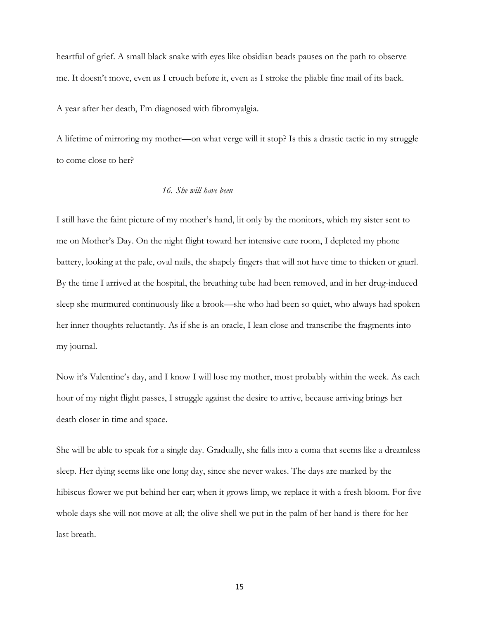heartful of grief. A small black snake with eyes like obsidian beads pauses on the path to observe me. It doesn't move, even as I crouch before it, even as I stroke the pliable fine mail of its back.

A year after her death, I'm diagnosed with fibromyalgia.

A lifetime of mirroring my mother—on what verge will it stop? Is this a drastic tactic in my struggle to come close to her?

# *16. She will have been*

I still have the faint picture of my mother's hand, lit only by the monitors, which my sister sent to me on Mother's Day. On the night flight toward her intensive care room, I depleted my phone battery, looking at the pale, oval nails, the shapely fingers that will not have time to thicken or gnarl. By the time I arrived at the hospital, the breathing tube had been removed, and in her drug-induced sleep she murmured continuously like a brook—she who had been so quiet, who always had spoken her inner thoughts reluctantly. As if she is an oracle, I lean close and transcribe the fragments into my journal.

Now it's Valentine's day, and I know I will lose my mother, most probably within the week. As each hour of my night flight passes, I struggle against the desire to arrive, because arriving brings her death closer in time and space.

She will be able to speak for a single day. Gradually, she falls into a coma that seems like a dreamless sleep. Her dying seems like one long day, since she never wakes. The days are marked by the hibiscus flower we put behind her ear; when it grows limp, we replace it with a fresh bloom. For five whole days she will not move at all; the olive shell we put in the palm of her hand is there for her last breath.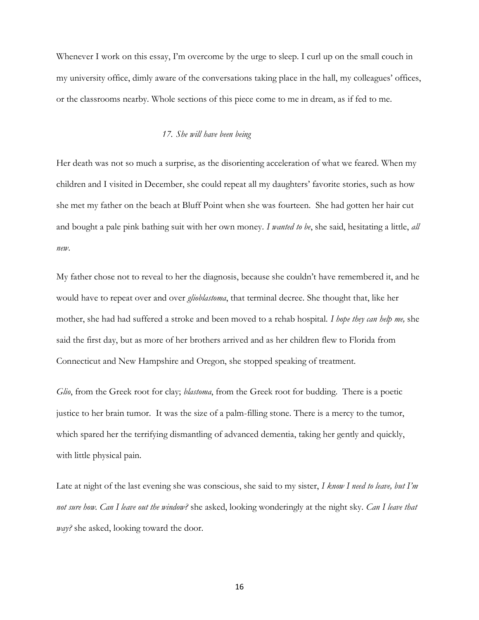Whenever I work on this essay, I'm overcome by the urge to sleep. I curl up on the small couch in my university office, dimly aware of the conversations taking place in the hall, my colleagues' offices, or the classrooms nearby. Whole sections of this piece come to me in dream, as if fed to me.

#### *17. She will have been being*

Her death was not so much a surprise, as the disorienting acceleration of what we feared. When my children and I visited in December, she could repeat all my daughters' favorite stories, such as how she met my father on the beach at Bluff Point when she was fourteen. She had gotten her hair cut and bought a pale pink bathing suit with her own money. *I wanted to be*, she said, hesitating a little, *all new*.

My father chose not to reveal to her the diagnosis, because she couldn't have remembered it, and he would have to repeat over and over *glioblastoma*, that terminal decree. She thought that, like her mother, she had had suffered a stroke and been moved to a rehab hospital. *I hope they can help me,* she said the first day, but as more of her brothers arrived and as her children flew to Florida from Connecticut and New Hampshire and Oregon, she stopped speaking of treatment.

*Glio*, from the Greek root for clay; *blastoma*, from the Greek root for budding. There is a poetic justice to her brain tumor. It was the size of a palm-filling stone. There is a mercy to the tumor, which spared her the terrifying dismantling of advanced dementia, taking her gently and quickly, with little physical pain.

Late at night of the last evening she was conscious, she said to my sister, *I know I need to leave, but I'm not sure how. Can I leave out the window?* she asked, looking wonderingly at the night sky. *Can I leave that way?* she asked, looking toward the door.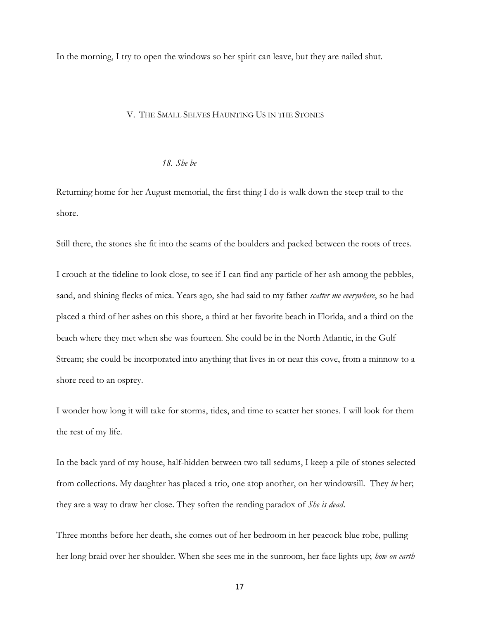In the morning, I try to open the windows so her spirit can leave, but they are nailed shut.

#### V. THE SMALL SELVES HAUNTING US IN THE STONES

#### *18. She be*

Returning home for her August memorial, the first thing I do is walk down the steep trail to the shore.

Still there, the stones she fit into the seams of the boulders and packed between the roots of trees.

I crouch at the tideline to look close, to see if I can find any particle of her ash among the pebbles, sand, and shining flecks of mica. Years ago, she had said to my father *scatter me everywhere*, so he had placed a third of her ashes on this shore, a third at her favorite beach in Florida, and a third on the beach where they met when she was fourteen. She could be in the North Atlantic, in the Gulf Stream; she could be incorporated into anything that lives in or near this cove, from a minnow to a shore reed to an osprey.

I wonder how long it will take for storms, tides, and time to scatter her stones. I will look for them the rest of my life.

In the back yard of my house, half-hidden between two tall sedums, I keep a pile of stones selected from collections. My daughter has placed a trio, one atop another, on her windowsill. They *be* her; they are a way to draw her close. They soften the rending paradox of *She is dead*.

Three months before her death, she comes out of her bedroom in her peacock blue robe, pulling her long braid over her shoulder. When she sees me in the sunroom, her face lights up; *how on earth*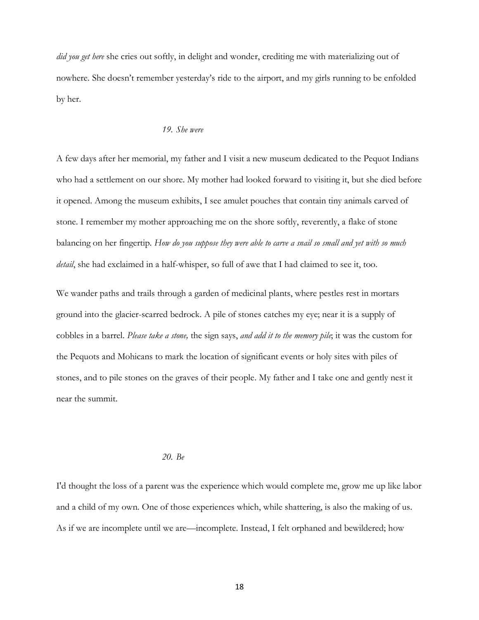*did you get here* she cries out softly, in delight and wonder, crediting me with materializing out of nowhere. She doesn't remember yesterday's ride to the airport, and my girls running to be enfolded by her.

## *19. She were*

A few days after her memorial, my father and I visit a new museum dedicated to the Pequot Indians who had a settlement on our shore. My mother had looked forward to visiting it, but she died before it opened. Among the museum exhibits, I see amulet pouches that contain tiny animals carved of stone. I remember my mother approaching me on the shore softly, reverently, a flake of stone balancing on her fingertip. *How do you suppose they were able to carve a snail so small and yet with so much detail*, she had exclaimed in a half-whisper, so full of awe that I had claimed to see it, too.

We wander paths and trails through a garden of medicinal plants, where pestles rest in mortars ground into the glacier-scarred bedrock. A pile of stones catches my eye; near it is a supply of cobbles in a barrel. *Please take a stone,* the sign says, *and add it to the memory pile*; it was the custom for the Pequots and Mohicans to mark the location of significant events or holy sites with piles of stones, and to pile stones on the graves of their people. My father and I take one and gently nest it near the summit.

### *20. Be*

I'd thought the loss of a parent was the experience which would complete me, grow me up like labor and a child of my own. One of those experiences which, while shattering, is also the making of us. As if we are incomplete until we are—incomplete. Instead, I felt orphaned and bewildered; how